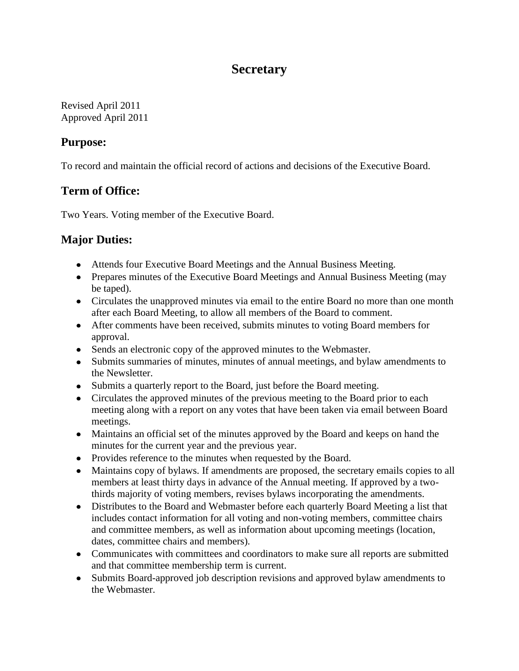## **Secretary**

Revised April 2011 Approved April 2011

## **Purpose:**

To record and maintain the official record of actions and decisions of the Executive Board.

## **Term of Office:**

Two Years. Voting member of the Executive Board.

## **Major Duties:**

- Attends four Executive Board Meetings and the Annual Business Meeting.
- Prepares minutes of the Executive Board Meetings and Annual Business Meeting (may be taped).
- Circulates the unapproved minutes via email to the entire Board no more than one month after each Board Meeting, to allow all members of the Board to comment.
- After comments have been received, submits minutes to voting Board members for approval.
- Sends an electronic copy of the approved minutes to the Webmaster.
- Submits summaries of minutes, minutes of annual meetings, and bylaw amendments to the Newsletter.
- Submits a quarterly report to the Board, just before the Board meeting.
- Circulates the approved minutes of the previous meeting to the Board prior to each meeting along with a report on any votes that have been taken via email between Board meetings.
- Maintains an official set of the minutes approved by the Board and keeps on hand the minutes for the current year and the previous year.
- Provides reference to the minutes when requested by the Board.
- Maintains copy of bylaws. If amendments are proposed, the secretary emails copies to all members at least thirty days in advance of the Annual meeting. If approved by a twothirds majority of voting members, revises bylaws incorporating the amendments.
- Distributes to the Board and Webmaster before each quarterly Board Meeting a list that includes contact information for all voting and non-voting members, committee chairs and committee members, as well as information about upcoming meetings (location, dates, committee chairs and members).
- Communicates with committees and coordinators to make sure all reports are submitted and that committee membership term is current.
- Submits Board-approved job description revisions and approved bylaw amendments to the Webmaster.